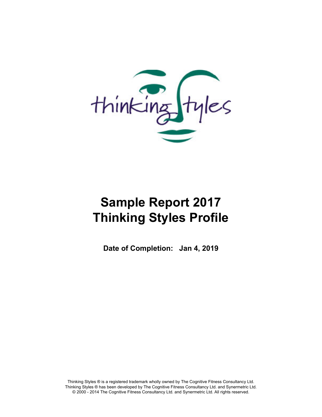

# **Sample Report 2017 Thinking Styles Profile**

**Date of Completion: Jan 4, 2019**

**Thinking Styles ® is a registered trademark wholly owned by The Cognitive Fitness Consultancy Ltd. Thinking Styles ® has been developed by The Cognitive Fitness Consultancy Ltd. and Synermetric Ltd. © 2000 - 2014 The Cognitive Fitness Consultancy Ltd. and Synermetric Ltd. All rights reserved.**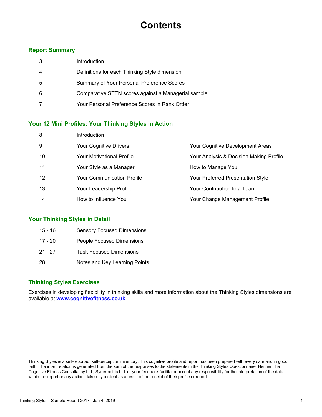## **Contents**

#### **Report Summary**

| 3 | Introduction                                        |
|---|-----------------------------------------------------|
| 4 | Definitions for each Thinking Style dimension       |
| 5 | Summary of Your Personal Preference Scores          |
| 6 | Comparative STEN scores against a Managerial sample |
| 7 | Your Personal Preference Scores in Rank Order       |

#### **Your 12 Mini Profiles: Your Thinking Styles in Action**

| 8  | Introduction                      |                                         |
|----|-----------------------------------|-----------------------------------------|
| 9  | <b>Your Cognitive Drivers</b>     | Your Cognitive Development Areas        |
| 10 | Your Motivational Profile         | Your Analysis & Decision Making Profile |
| 11 | Your Style as a Manager           | How to Manage You                       |
| 12 | <b>Your Communication Profile</b> | Your Preferred Presentation Style       |
| 13 | Your Leadership Profile           | Your Contribution to a Team             |
| 14 | How to Influence You              | Your Change Management Profile          |

#### **Your Thinking Styles in Detail**

| 15 - 16 | <b>Sensory Focused Dimensions</b> |
|---------|-----------------------------------|
| 17 - 20 | <b>People Focused Dimensions</b>  |
| 21 - 27 | <b>Task Focused Dimensions</b>    |
| 28      | Notes and Key Learning Points     |

#### **Thinking Styles Exercises**

**Exercises in developing flexibility in thinking skills and more information about the Thinking Styles dimensions are available at www.cognitivefitness.co.uk**

**Thinking Styles is a self-reported, self-perception inventory. This cognitive profile and report has been prepared with every care and in good faith. The interpretation is generated from the sum of the responses to the statements in the Thinking Styles Questionnaire. Neither The Cognitive Fitness Consultancy Ltd., Synermetric Ltd. or your feedback facilitator accept any responsibility for the interpretation of the data within the report or any actions taken by a client as a result of the receipt of their profile or report.**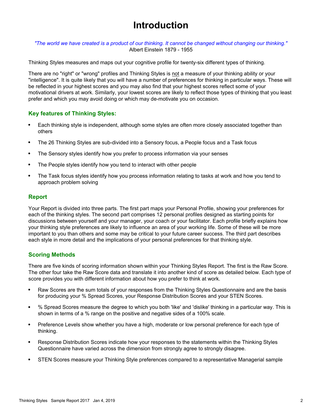## **Introduction**

*"The world we have created is a product of our thinking. It cannot be changed without changing our thinking."* **Albert Einstein 1879 - 1955**

**Thinking Styles measures and maps out your cognitive profile for twenty-six different types of thinking.**

**There are no "right" or "wrong" profiles and Thinking Styles is not a measure of your thinking ability or your "intelligence". It is quite likely that you will have a number of preferences for thinking in particular ways. These will be reflected in your highest scores and you may also find that your highest scores reflect some of your motivational drivers at work. Similarly, your lowest scores are likely to reflect those types of thinking that you least prefer and which you may avoid doing or which may de-motivate you on occasion.**

#### **Key features of Thinking Styles:**

- $\bullet$ **Each thinking style is independent, although some styles are often more closely associated together than others**
- **The 26 Thinking Styles are sub-divided into a Sensory focus, a People focus and a Task focus**  $\bullet$
- **The Sensory styles identify how you prefer to process information via your senses**
- **The People styles identify how you tend to interact with other people**  $\bullet$
- **The Task focus styles identify how you process information relating to tasks at work and how you tend to**  $\bullet$ **approach problem solving**

#### **Report**

**Your Report is divided into three parts. The first part maps your Personal Profile, showing your preferences for each of the thinking styles. The second part comprises 12 personal profiles designed as starting points for discussions between yourself and your manager, your coach or your facilitator. Each profile briefly explains how your thinking style preferences are likely to influence an area of your working life. Some of these will be more important to you than others and some may be critical to your future career success. The third part describes each style in more detail and the implications of your personal preferences for that thinking style.**

#### **Scoring Methods**

**There are five kinds of scoring information shown within your Thinking Styles Report. The first is the Raw Score. The other four take the Raw Score data and translate it into another kind of score as detailed below. Each type of score provides you with different information about how you prefer to think at work.**

- **Raw Scores are the sum totals of your responses from the Thinking Styles Questionnaire and are the basis**  $\bullet$ **for producing your % Spread Scores, your Response Distribution Scores and your STEN Scores.**
- **% Spread Scores measure the degree to which you both 'like' and 'dislike' thinking in a particular way. This is**  $\bullet$ **shown in terms of a % range on the positive and negative sides of a 100% scale.**
- $\bullet$ **Preference Levels show whether you have a high, moderate or low personal preference for each type of thinking.**
- **Response Distribution Scores indicate how your responses to the statements within the Thinking Styles**  $\bullet$ **Questionnaire have varied across the dimension from strongly agree to strongly disagree.**
- **STEN Scores measure your Thinking Style preferences compared to a representative Managerial sample**  $\bullet$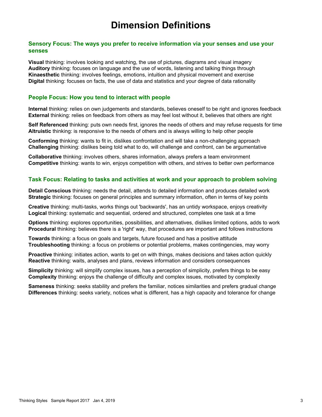## **Dimension Definitions**

#### **Sensory Focus: The ways you prefer to receive information via your senses and use your senses**

**Visual thinking: involves looking and watching, the use of pictures, diagrams and visual imagery Auditory thinking: focuses on language and the use of words, listening and talking things through Kinaesthetic thinking: involves feelings, emotions, intuition and physical movement and exercise Digital thinking: focuses on facts, the use of data and statistics and your degree of data rationality**

#### **People Focus: How you tend to interact with people**

**Internal thinking: relies on own judgements and standards, believes oneself to be right and ignores feedback External thinking: relies on feedback from others as may feel lost without it, believes that others are right**

**Self Referenced thinking: puts own needs first, ignores the needs of others and may refuse requests for time Altruistic thinking: is responsive to the needs of others and is always willing to help other people**

**Conforming thinking: wants to fit in, dislikes confrontation and will take a non-challenging approach Challenging thinking: dislikes being told what to do, will challenge and confront, can be argumentative**

**Collaborative thinking: involves others, shares information, always prefers a team environment Competitive thinking: wants to win, enjoys competition with others, and strives to better own performance**

#### **Task Focus: Relating to tasks and activities at work and your approach to problem solving**

**Detail Conscious thinking: needs the detail, attends to detailed information and produces detailed work Strategic thinking: focuses on general principles and summary information, often in terms of key points**

**Creative thinking: multi-tasks, works things out 'backwards', has an untidy workspace, enjoys creativity Logical thinking: systematic and sequential, ordered and structured, completes one task at a time**

**Options thinking: explores opportunities, possibilities, and alternatives, dislikes limited options, adds to work Procedural thinking: believes there is a 'right' way, that procedures are important and follows instructions**

**Towards thinking: a focus on goals and targets, future focused and has a positive attitude Troubleshooting thinking: a focus on problems or potential problems, makes contingencies, may worry**

**Proactive thinking: initiates action, wants to get on with things, makes decisions and takes action quickly Reactive thinking: waits, analyses and plans, reviews information and considers consequences**

**Simplicity thinking: will simplify complex issues, has a perception of simplicity, prefers things to be easy Complexity thinking: enjoys the challenge of difficulty and complex issues, motivated by complexity**

**Sameness thinking: seeks stability and prefers the familiar, notices similarities and prefers gradual change Differences thinking: seeks variety, notices what is different, has a high capacity and tolerance for change**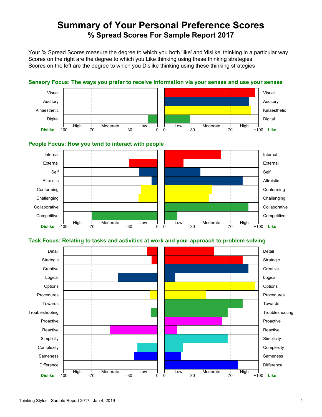### **Summary of Your Personal Preference Scores % Spread Scores For Sample Report 2017**

**Your % Spread Scores measure the degree to which you both 'like' and 'dislike' thinking in a particular way. Scores on the right are the degree to which you Like thinking using these thinking strategies Scores on the left are the degree to which you Dislike thinking using these thinking strategies**



#### **Sensory Focus: The ways you prefer to receive information via your senses and use your senses**

#### **People Focus: How you tend to interact with people**



#### **Task Focus: Relating to tasks and activities at work and your approach to problem solving**

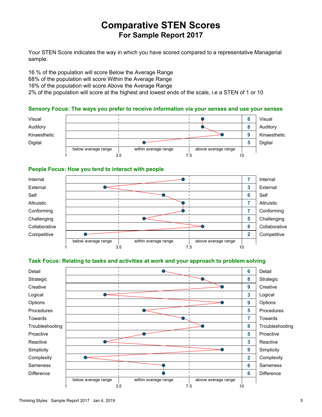### **Comparative STEN Scores For Sample Report 2017**

**Your STEN Score indicates the way in which you have scored compared to a representative Managerial sample.**

**16 % of the population will score Below the Average Range 68% of the population will score Within the Average Range 16% of the population will score Above the Average Range 2% of the population will score at the highest and lowest ends of the scale, i.e a STEN of 1 or 10**

#### **Sensory Focus: The ways you prefer to receive information via your senses and use your senses**



#### **People Focus: How you tend to interact with people**



#### **Task Focus: Relating to tasks and activities at work and your approach to problem solving**

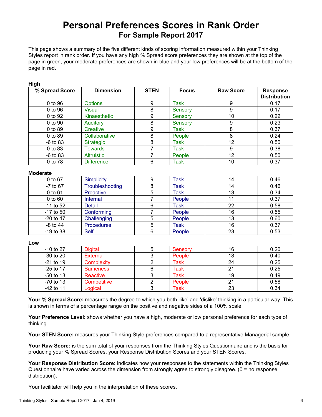### **Personal Preferences Scores in Rank Order For Sample Report 2017**

**This page shows a summary of the five different kinds of scoring information measured within your Thinking Styles report in rank order. If you have any high % Spread score preferences they are shown at the top of the page in green, your moderate preferences are shown in blue and your low preferences will be at the bottom of the page in red.**

| nıyıı          |                   |             |              |                  |                                        |
|----------------|-------------------|-------------|--------------|------------------|----------------------------------------|
| % Spread Score | <b>Dimension</b>  | <b>STEN</b> | <b>Focus</b> | <b>Raw Score</b> | <b>Response</b><br><b>Distribution</b> |
| 0 to 96        | <b>Options</b>    | 9           | Task         | 9                | 0.17                                   |
| 0 to 96        | Visual            | 8           | Sensory      | 9                | 0.17                                   |
| 0 to 92        | Kinaesthetic      | 9           | Sensory      | 10               | 0.22                                   |
| 0 to 90        | Auditory          | 8           | Sensory      | 9                | 0.23                                   |
| 0 to 89        | Creative          | 9           | Task         | 8                | 0.37                                   |
| 0 to 89        | Collaborative     | 8           | People       | 8                | 0.24                                   |
| $-6$ to 83     | <b>Strategic</b>  | 8           | Task         | 12               | 0.50                                   |
| 0 to 83        | Towards           |             | Task         | 9                | 0.38                                   |
| $-6$ to 83     | <b>Altruistic</b> |             | People       | 12               | 0.50                                   |
| 0 to 78        | <b>Difference</b> | 6           | Task         | 10               | 0.37                                   |

#### **Moderate**

**High**

| 0 to 67     | Simplicity        | <b>Task</b> | 14 | 0.46 |
|-------------|-------------------|-------------|----|------|
| -7 to 67    | Troubleshooting   | Task        | 14 | 0.46 |
| 0 to 61     | Proactive         | <b>Task</b> | 13 | 0.34 |
| $0$ to $60$ | Internal          | People      |    | 0.37 |
| $-11$ to 52 | <b>Detail</b>     | Task        | 22 | 0.58 |
| $-17$ to 50 | Conforming        | People      | 16 | 0.55 |
| $-20$ to 47 | Challenging       | People      | 13 | 0.60 |
| $-8$ to 44  | <b>Procedures</b> | Task        | 16 | 0.37 |
| $-19$ to 38 | <b>Self</b>       | People      | 23 | 0.53 |

**Low**

| $-10$ to 27 | <b>Digital</b>  | Sensory | 16 | 0.20 |
|-------------|-----------------|---------|----|------|
| $-30$ to 20 | External        | People  | 18 | 0.40 |
| $-21$ to 19 | Complexity      | Task    | 24 | 0.25 |
| $-25$ to 17 | <b>Sameness</b> | Task    |    | 0.25 |
| $-50$ to 13 | Reactive        | Task    | 19 | 0.49 |
| $-70$ to 13 | Competitive     | People  |    | 0.58 |
| $-42$ to 11 | Logical         | Task    | 23 | 0.34 |

**Your % Spread Score: measures the degree to which you both 'like' and 'dislike' thinking in a particular way. This is shown in terms of a percentage range on the positive and negative sides of a 100% scale.**

**Your Preference Level: shows whether you have a high, moderate or low personal preference for each type of thinking.**

**Your STEN Score: measures your Thinking Style preferences compared to a representative Managerial sample.**

**Your Raw Score: is the sum total of your responses from the Thinking Styles Questionnaire and is the basis for producing your % Spread Scores, your Response Distribution Scores and your STEN Scores.**

**Your Response Distribution Score: indicates how your responses to the statements within the Thinking Styles Questionnaire have varied across the dimension from strongly agree to strongly disagree. (0 = no response distribution).**

**Your facilitator will help you in the interpretation of these scores.**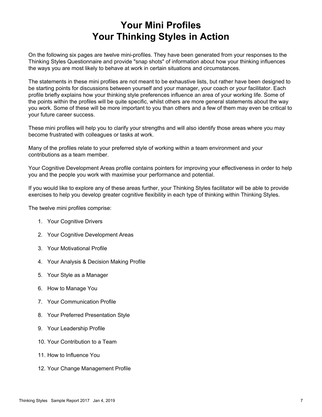## **Your Mini Profiles Your Thinking Styles in Action**

**On the following six pages are twelve mini-profiles. They have been generated from your responses to the Thinking Styles Questionnaire and provide "snap shots" of information about how your thinking influences the ways you are most likely to behave at work in certain situations and circumstances.**

**The statements in these mini profiles are not meant to be exhaustive lists, but rather have been designed to be starting points for discussions between yourself and your manager, your coach or your facilitator. Each profile briefly explains how your thinking style preferences influence an area of your working life. Some of the points within the profiles will be quite specific, whilst others are more general statements about the way you work. Some of these will be more important to you than others and a few of them may even be critical to your future career success.**

**These mini profiles will help you to clarify your strengths and will also identify those areas where you may become frustrated with colleagues or tasks at work.**

**Many of the profiles relate to your preferred style of working within a team environment and your contributions as a team member.**

**Your Cognitive Development Areas profile contains pointers for improving your effectiveness in order to help you and the people you work with maximise your performance and potential.**

**If you would like to explore any of these areas further, your Thinking Styles facilitator will be able to provide exercises to help you develop greater cognitive flexibility in each type of thinking within Thinking Styles.**

**The twelve mini profiles comprise:**

- **1. Your Cognitive Drivers**
- **2. Your Cognitive Development Areas**
- **3. Your Motivational Profile**
- **4. Your Analysis & Decision Making Profile**
- **5. Your Style as a Manager**
- **6. How to Manage You**
- **7. Your Communication Profile**
- **8. Your Preferred Presentation Style**
- **9. Your Leadership Profile**
- **10. Your Contribution to a Team**
- **11. How to Influence You**
- **12. Your Change Management Profile**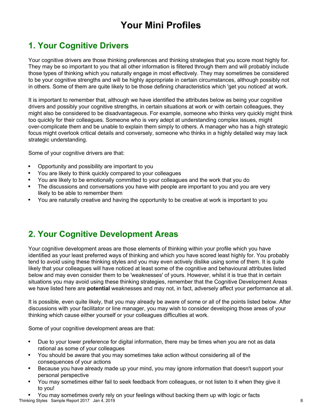## **Your Mini Profiles**

### **1. Your Cognitive Drivers**

**Your cognitive drivers are those thinking preferences and thinking strategies that you score most highly for. They may be so important to you that all other information is filtered through them and will probably include those types of thinking which you naturally engage in most effectively. They may sometimes be considered to be your cognitive strengths and will be highly appropriate in certain circumstances, although possibly not in others. Some of them are quite likely to be those defining characteristics which 'get you noticed' at work.**

**It is important to remember that, although we have identified the attributes below as being your cognitive drivers and possibly your cognitive strengths, in certain situations at work or with certain colleagues, they might also be considered to be disadvantageous. For example, someone who thinks very quickly might think too quickly for their colleagues. Someone who is very adept at understanding complex issues, might over-complicate them and be unable to explain them simply to others. A manager who has a high strategic focus might overlook critical details and conversely, someone who thinks in a highly detailed way may lack strategic understanding.**

**Some of your cognitive drivers are that:**

- $\bullet$ **Opportunity and possibility are important to you**
- **You are likely to think quickly compared to your colleagues**
- **You are likely to be emotionally committed to your colleagues and the work that you do**
- **The discussions and conversations you have with people are important to you and you are very likely to be able to remember them**
- **You are naturally creative and having the opportunity to be creative at work is important to you**  $\bullet$

### **2. Your Cognitive Development Areas**

**Your cognitive development areas are those elements of thinking within your profile which you have identified as your least preferred ways of thinking and which you have scored least highly for. You probably tend to avoid using these thinking styles and you may even actively dislike using some of them. It is quite likely that your colleagues will have noticed at least some of the cognitive and behavioural attributes listed below and may even consider them to be 'weaknesses' of yours. However, whilst it is true that in certain situations you may avoid using these thinking strategies, remember that the Cognitive Development Areas we have listed here are potential weaknesses and may not, in fact, adversely affect your performance at all.**

**It is possible, even quite likely, that you may already be aware of some or all of the points listed below. After discussions with your facilitator or line manager, you may wish to consider developing those areas of your thinking which cause either yourself or your colleagues difficulties at work.**

**Some of your cognitive development areas are that:**

- $\bullet$ **Due to your lower preference for digital information, there may be times when you are not as data rational as some of your colleagues**
- **You should be aware that you may sometimes take action without considering all of the**  $\bullet$ **consequences of your actions**
- **Because you have already made up your mind, you may ignore information that doesn't support your**  $\bullet$ **personal perspective**
- $\bullet$ **You may sometimes either fail to seek feedback from colleagues, or not listen to it when they give it to you!**
- **You may sometimes overly rely on your feelings without backing them up with logic or facts Thinking Styles Sample Report 2017 Jan 4, 2019 8**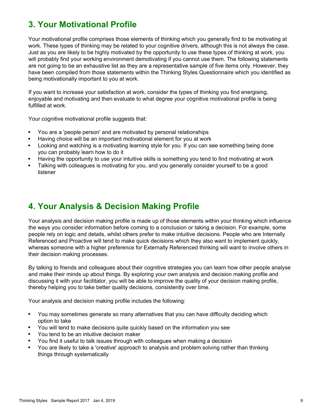### **3. Your Motivational Profile**

**Your motivational profile comprises those elements of thinking which you generally find to be motivating at work. These types of thinking may be related to your cognitive drivers, although this is not always the case. Just as you are likely to be highly motivated by the opportunity to use these types of thinking at work, you will probably find your working environment demotivating if you cannot use them. The following statements are not going to be an exhaustive list as they are a representative sample of five items only. However, they have been compiled from those statements within the Thinking Styles Questionnaire which you identified as being motivationally important to you at work.**

**If you want to increase your satisfaction at work, consider the types of thinking you find energising, enjoyable and motivating and then evaluate to what degree your cognitive motivational profile is being fulfilled at work.**

**Your cognitive motivational profile suggests that:**

- **You are a 'people person' and are motivated by personal relationships**
- **Having choice will be an important motivational element for you at work**
- **Looking and watching is a motivating learning style for you. If you can see something being done**  $\bullet$ **you can probably learn how to do it**
- **Having the opportunity to use your intuitive skills is something you tend to find motivating at work**
- **Talking with colleagues is motivating for you, and you generally consider yourself to be a good listener**

#### **4. Your Analysis & Decision Making Profile**

**Your analysis and decision making profile is made up of those elements within your thinking which influence the ways you consider information before coming to a conclusion or taking a decision. For example, some people rely on logic and details, whilst others prefer to make intuitive decisions. People who are Internally Referenced and Proactive will tend to make quick decisions which they also want to implement quickly, whereas someone with a higher preference for Externally Referenced thinking will want to involve others in their decision making processes.**

**By talking to friends and colleagues about their cognitive strategies you can learn how other people analyse and make their minds up about things. By exploring your own analysis and decision making profile and discussing it with your facilitator, you will be able to improve the quality of your decision making profile, thereby helping you to take better quality decisions, consistently over time.**

**Your analysis and decision making profile includes the following:**

- $\bullet$ **You may sometimes generate so many alternatives that you can have difficulty deciding which option to take**
- **You will tend to make decisions quite quickly based on the information you see**
- **You tend to be an intuitive decision maker**
- **You find it useful to talk issues through with colleagues when making a decision**
- **You are likely to take a 'creative' approach to analysis and problem solving rather than thinking things through systematically**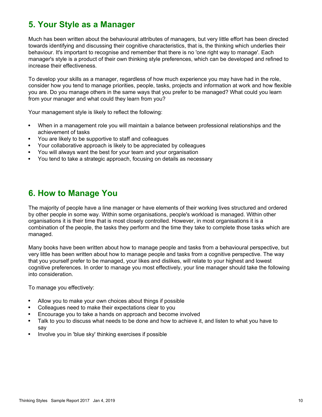### **5. Your Style as a Manager**

**Much has been written about the behavioural attributes of managers, but very little effort has been directed towards identifying and discussing their cognitive characteristics, that is, the thinking which underlies their behaviour. It's important to recognise and remember that there is no 'one right way to manage'. Each manager's style is a product of their own thinking style preferences, which can be developed and refined to increase their effectiveness.**

**To develop your skills as a manager, regardless of how much experience you may have had in the role, consider how you tend to manage priorities, people, tasks, projects and information at work and how flexible you are. Do you manage others in the same ways that you prefer to be managed? What could you learn from your manager and what could they learn from you?**

**Your management style is likely to reflect the following:**

- **When in a management role you will maintain a balance between professional relationships and the**  $\bullet$ **achievement of tasks**
- **You are likely to be supportive to staff and colleagues**  $\bullet$
- **Your collaborative approach is likely to be appreciated by colleagues**
- **You will always want the best for your team and your organisation**
- **You tend to take a strategic approach, focusing on details as necessary**

#### **6. How to Manage You**

**The majority of people have a line manager or have elements of their working lives structured and ordered by other people in some way. Within some organisations, people's workload is managed. Within other organisations it is their time that is most closely controlled. However, in most organisations it is a combination of the people, the tasks they perform and the time they take to complete those tasks which are managed.**

**Many books have been written about how to manage people and tasks from a behavioural perspective, but very little has been written about how to manage people and tasks from a cognitive perspective. The way that you yourself prefer to be managed, your likes and dislikes, will relate to your highest and lowest cognitive preferences. In order to manage you most effectively, your line manager should take the following into consideration.**

**To manage you effectively:**

- **Allow you to make your own choices about things if possible**
- **Colleagues need to make their expectations clear to you**
- **Encourage you to take a hands on approach and become involved**
- **Talk to you to discuss what needs to be done and how to achieve it, and listen to what you have to say**
- **Involve you in 'blue sky' thinking exercises if possible**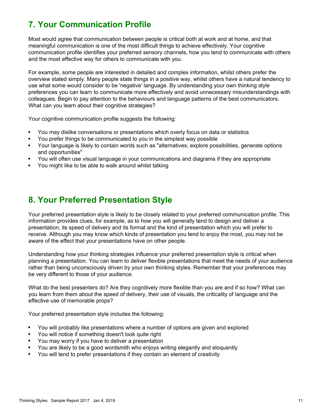### **7. Your Communication Profile**

**Most would agree that communication between people is critical both at work and at home, and that meaningful communication is one of the most difficult things to achieve effectively. Your cognitive communication profile identifies your preferred sensory channels, how you tend to communicate with others and the most effective way for others to communicate with you.**

**For example, some people are interested in detailed and complex information, whilst others prefer the overview stated simply. Many people state things in a positive way, whilst others have a natural tendency to use what some would consider to be 'negative' language. By understanding your own thinking style preferences you can learn to communicate more effectively and avoid unnecessary misunderstandings with colleagues. Begin to pay attention to the behaviours and language patterns of the best communicators. What can you learn about their cognitive strategies?**

**Your cognitive communication profile suggests the following:**

- **You may dislike conversations or presentations which overly focus on data or statistics**
- **You prefer things to be communicated to you in the simplest way possible**
- **Your language is likely to contain words such as "alternatives, explore possibilities, generate options**  $\bullet$ **and opportunities"**
- **You will often use visual language in your communications and diagrams if they are appropriate**
- **You might like to be able to walk around whilst talking**

#### **8. Your Preferred Presentation Style**

**Your preferred presentation style is likely to be closely related to your preferred communication profile. This information provides clues, for example, as to how you will generally tend to design and deliver a presentation, its speed of delivery and its format and the kind of presentation which you will prefer to receive. Although you may know which kinds of presentation you tend to enjoy the most, you may not be aware of the effect that your presentations have on other people.**

**Understanding how your thinking strategies influence your preferred presentation style is critical when planning a presentation. You can learn to deliver flexible presentations that meet the needs of your audience rather than being unconsciously driven by your own thinking styles. Remember that your preferences may be very different to those of your audience.**

**What do the best presenters do? Are they cognitively more flexible than you are and if so how? What can you learn from them about the speed of delivery, their use of visuals, the criticality of language and the effective use of memorable props?**

**Your preferred presentation style includes the following:**

- **You will probably like presentations where a number of options are given and explored**  $\bullet$
- **You will notice if something doesn't look quite right**
- **You may worry if you have to deliver a presentation**
- **You are likely to be a good wordsmith who enjoys writing elegantly and eloquently**
- **You will tend to prefer presentations if they contain an element of creativity**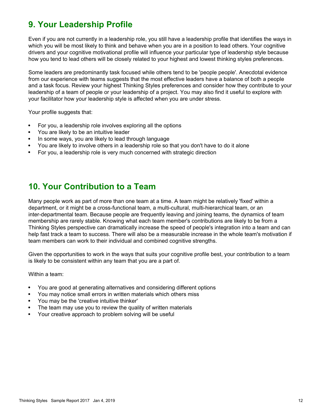### **9. Your Leadership Profile**

**Even if you are not currently in a leadership role, you still have a leadership profile that identifies the ways in which you will be most likely to think and behave when you are in a position to lead others. Your cognitive drivers and your cognitive motivational profile will influence your particular type of leadership style because how you tend to lead others will be closely related to your highest and lowest thinking styles preferences.**

**Some leaders are predominantly task focused while others tend to be 'people people'. Anecdotal evidence from our experience with teams suggests that the most effective leaders have a balance of both a people and a task focus. Review your highest Thinking Styles preferences and consider how they contribute to your leadership of a team of people or your leadership of a project. You may also find it useful to explore with your facilitator how your leadership style is affected when you are under stress.**

Your profile suggests that:

- $\bullet$ **For you, a leadership role involves exploring all the options**
- **You are likely to be an intuitive leader**
- **In some ways, you are likely to lead through language**
- **You are likely to involve others in a leadership role so that you don't have to do it alone**
- **For you, a leadership role is very much concerned with strategic direction**

#### **10. Your Contribution to a Team**

**Many people work as part of more than one team at a time. A team might be relatively 'fixed' within a department, or it might be a cross-functional team, a multi-cultural, multi-hierarchical team, or an inter-departmental team. Because people are frequently leaving and joining teams, the dynamics of team membership are rarely stable. Knowing what each team member's contributions are likely to be from a Thinking Styles perspective can dramatically increase the speed of people's integration into a team and can help fast track a team to success. There will also be a measurable increase in the whole team's motivation if team members can work to their individual and combined cognitive strengths.**

**Given the opportunities to work in the ways that suits your cognitive profile best, your contribution to a team is likely to be consistent within any team that you are a part of.**

**Within a team:**

- **You are good at generating alternatives and considering different options**  $\bullet$
- **You may notice small errors in written materials which others miss**
- **You may be the 'creative intuitive thinker'**
- **The team may use you to review the quality of written materials**
- **Your creative approach to problem solving will be useful**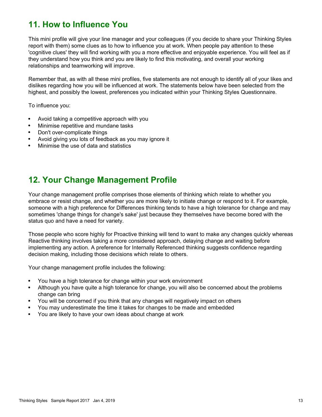#### **11. How to Influence You**

**This mini profile will give your line manager and your colleagues (if you decide to share your Thinking Styles report with them) some clues as to how to influence you at work. When people pay attention to these 'cognitive clues' they will find working with you a more effective and enjoyable experience. You will feel as if they understand how you think and you are likely to find this motivating, and overall your working relationships and teamworking will improve.**

**Remember that, as with all these mini profiles, five statements are not enough to identify all of your likes and dislikes regarding how you will be influenced at work. The statements below have been selected from the highest, and possibly the lowest, preferences you indicated within your Thinking Styles Questionnaire.**

**To influence you:**

- **Avoid taking a competitive approach with you**
- **Minimise repetitive and mundane tasks**
- **Don't over-complicate things**
- **Avoid giving you lots of feedback as you may ignore it**
- **Minimise the use of data and statistics**

#### **12. Your Change Management Profile**

**Your change management profile comprises those elements of thinking which relate to whether you embrace or resist change, and whether you are more likely to initiate change or respond to it. For example, someone with a high preference for Differences thinking tends to have a high tolerance for change and may sometimes 'change things for change's sake' just because they themselves have become bored with the status quo and have a need for variety.**

**Those people who score highly for Proactive thinking will tend to want to make any changes quickly whereas Reactive thinking involves taking a more considered approach, delaying change and waiting before implementing any action. A preference for Internally Referenced thinking suggests confidence regarding decision making, including those decisions which relate to others.**

**Your change management profile includes the following:**

- **You have a high tolerance for change within your work environment**  $\bullet$
- **Although you have quite a high tolerance for change, you will also be concerned about the problems**  $\bullet$ **change can bring**
- **You will be concerned if you think that any changes will negatively impact on others**
- **You may underestimate the time it takes for changes to be made and embedded**
- **You are likely to have your own ideas about change at work**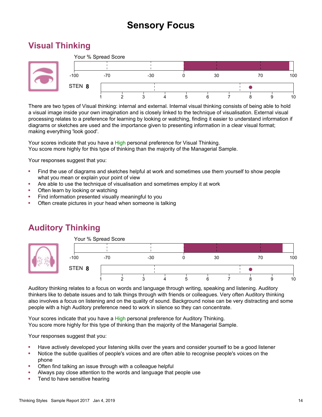## **Sensory Focus**

### **Visual Thinking**



**There are two types of Visual thinking: internal and external. Internal visual thinking consists of being able to hold a visual image inside your own imagination and is closely linked to the technique of visualisation. External visual processing relates to a preference for learning by looking or watching, finding it easier to understand information if diagrams or sketches are used and the importance given to presenting information in a clear visual format; making everything 'look good'.**

**Your scores indicate that you have a High personal preference for Visual Thinking. You score more highly for this type of thinking than the majority of the Managerial Sample.**

**Your responses suggest that you:**

- **Find the use of diagrams and sketches helpful at work and sometimes use them yourself to show people what you mean or explain your point of view**
- **Are able to use the technique of visualisation and sometimes employ it at work**
- **Often learn by looking or watching**
- **Find information presented visually meaningful to you**
- **Often create pictures in your head when someone is talking**



### **Auditory Thinking**

**Auditory thinking relates to a focus on words and language through writing, speaking and listening. Auditory thinkers like to debate issues and to talk things through with friends or colleagues. Very often Auditory thinking also involves a focus on listening and on the quality of sound. Background noise can be very distracting and some people with a high Auditory preference need to work in silence so they can concentrate.**

**Your scores indicate that you have a High personal preference for Auditory Thinking. You score more highly for this type of thinking than the majority of the Managerial Sample.**

- **Have actively developed your listening skills over the years and consider yourself to be a good listener**  $\bullet$
- $\bullet$ **Notice the subtle qualities of people's voices and are often able to recognise people's voices on the phone**
- **Often find talking an issue through with a colleague helpful**
- **Always pay close attention to the words and language that people use**
- **Tend to have sensitive hearing**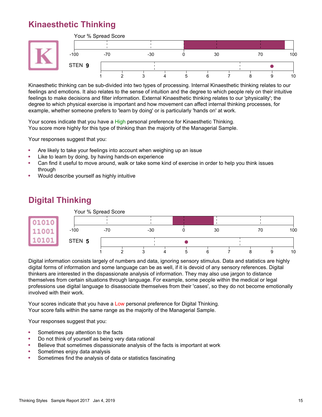## **Kinaesthetic Thinking**



**Kinaesthetic thinking can be sub-divided into two types of processing. Internal Kinaesthetic thinking relates to our feelings and emotions. It also relates to the sense of intuition and the degree to which people rely on their intuitive feelings to make decisions and filter information. External Kinaesthetic thinking relates to our 'physicality'; the degree to which physical exercise is important and how movement can affect internal thinking processes, for example, whether someone prefers to 'learn by doing' or is particularly 'hands on' at work.**

**Your scores indicate that you have a High personal preference for Kinaesthetic Thinking. You score more highly for this type of thinking than the majority of the Managerial Sample.**

**Your responses suggest that you:**

- **Are likely to take your feelings into account when weighing up an issue**
- **Like to learn by doing, by having hands-on experience**
- **Can find it useful to move around, walk or take some kind of exercise in order to help you think issues through**
- **Would describe yourself as highly intuitive**

### **Digital Thinking**



**Digital information consists largely of numbers and data, ignoring sensory stimulus. Data and statistics are highly digital forms of information and some language can be as well, if it is devoid of any sensory references. Digital thinkers are interested in the dispassionate analysis of information. They may also use jargon to distance themselves from certain situations through language. For example, some people within the medical or legal professions use digital language to disassociate themselves from their 'cases', so they do not become emotionally involved with their work.**

**Your scores indicate that you have a Low personal preference for Digital Thinking. Your score falls within the same range as the majority of the Managerial Sample.**

- **Sometimes pay attention to the facts**
- **Do not think of yourself as being very data rational**
- **Believe that sometimes dispassionate analysis of the facts is important at work**
- **Sometimes enjoy data analysis**
- **Sometimes find the analysis of data or statistics fascinating**  $\bullet$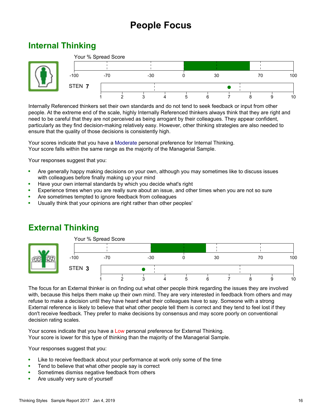## **People Focus**

### **Internal Thinking**



**Internally Referenced thinkers set their own standards and do not tend to seek feedback or input from other people. At the extreme end of the scale, highly Internally Referenced thinkers always think that they are right and need to be careful that they are not perceived as being arrogant by their colleagues. They appear confident, particularly as they find decision-making relatively easy. However, other thinking strategies are also needed to ensure that the quality of those decisions is consistently high.**

**Your scores indicate that you have a Moderate personal preference for Internal Thinking. Your score falls within the same range as the majority of the Managerial Sample.**

**Your responses suggest that you:**

- **Are generally happy making decisions on your own, although you may sometimes like to discuss issues with colleagues before finally making up your mind**
- **Have your own internal standards by which you decide what's right**
- **Experience times when you are really sure about an issue, and other times when you are not so sure**
- **Are sometimes tempted to ignore feedback from colleagues**
- **Usually think that your opinions are right rather than other peoples'**



### **External Thinking**

**The focus for an External thinker is on finding out what other people think regarding the issues they are involved with, because this helps them make up their own mind. They are very interested in feedback from others and may refuse to make a decision until they have heard what their colleagues have to say. Someone with a strong External reference is likely to believe that what other people tell them is correct and they tend to feel lost if they don't receive feedback. They prefer to make decisions by consensus and may score poorly on conventional decision rating scales.**

**Your scores indicate that you have a Low personal preference for External Thinking. Your score is lower for this type of thinking than the majority of the Managerial Sample.**

- $\bullet$ **Like to receive feedback about your performance at work only some of the time**
- $\bullet$ **Tend to believe that what other people say is correct**
- **Sometimes dismiss negative feedback from others**
- **Are usually very sure of yourself**  $\bullet$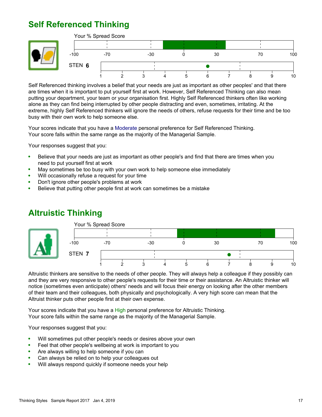### **Self Referenced Thinking**





**Self Referenced thinking involves a belief that your needs are just as important as other peoples' and that there are times when it is important to put yourself first at work. However, Self Referenced Thinking can also mean putting your department, your team or your organisation first. Highly Self Referenced thinkers often like working alone as they can find being interrupted by other people distracting and even, sometimes, irritating. At the extreme, highly Self Referenced thinkers will ignore the needs of others, refuse requests for their time and be too busy with their own work to help someone else.**

**Your scores indicate that you have a Moderate personal preference for Self Referenced Thinking. Your score falls within the same range as the majority of the Managerial Sample.**

**Your responses suggest that you:**

- **Believe that your needs are just as important as other people's and find that there are times when you**  $\bullet$ **need to put yourself first at work**
- **May sometimes be too busy with your own work to help someone else immediately**  $\bullet$
- **Will occasionally refuse a request for your time**
- **Don't ignore other people's problems at work**
- $\bullet$ **Believe that putting other people first at work can sometimes be a mistake**

#### **Altruistic Thinking**



**Altruistic thinkers are sensitive to the needs of other people. They will always help a colleague if they possibly can and they are very responsive to other people's requests for their time or their assistance. An Altruistic thinker will notice (sometimes even anticipate) others' needs and will focus their energy on looking after the other members of their team and their colleagues, both physically and psychologically. A very high score can mean that the Altruist thinker puts other people first at their own expense.**

**Your scores indicate that you have a High personal preference for Altruistic Thinking. Your score falls within the same range as the majority of the Managerial Sample.**

- **Will sometimes put other people's needs or desires above your own**  $\bullet$
- **Feel that other people's wellbeing at work is important to you**
- **Are always willing to help someone if you can**  $\bullet$
- **Can always be relied on to help your colleagues out**
- **Will always respond quickly if someone needs your help**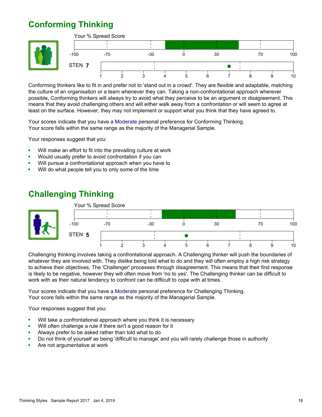## **Conforming Thinking**





**Conforming thinkers like to fit in and prefer not to 'stand out in a crowd'. They are flexible and adaptable, matching the culture of an organisation or a team whenever they can. Taking a non-confrontational approach wherever possible, Conforming thinkers will always try to avoid what they perceive to be an argument or disagreement. This means that they avoid challenging others and will either walk away from a confrontation or will seem to agree at least on the surface. However, they may not implement or support what you think that they have agreed to.**

**Your scores indicate that you have a Moderate personal preference for Conforming Thinking. Your score falls within the same range as the majority of the Managerial Sample.**

**Your responses suggest that you:**

- **Will make an effort to fit into the prevailing culture at work**  $\bullet$
- **Would usually prefer to avoid confrontation if you can**
- **Will pursue a confrontational approach when you have to**
- **Will do what people tell you to only some of the time**

### **Challenging Thinking**



**Challenging thinking involves taking a confrontational approach. A Challenging thinker will push the boundaries of whatever they are involved with. They dislike being told what to do and they will often employ a high risk strategy to achieve their objectives. The 'Challenger' processes through disagreement. This means that their first response is likely to be negative, however they will often move from 'no to yes'. The Challenging thinker can be difficult to work with as their natural tendency to confront can be difficult to cope with at times.**

**Your scores indicate that you have a Moderate personal preference for Challenging Thinking. Your score falls within the same range as the majority of the Managerial Sample.**

- **Will take a confrontational approach where you think it is necessary**
- **Will often challenge a rule if there isn't a good reason for it**  $\bullet$
- **Always prefer to be asked rather than told what to do**
- **Do not think of yourself as being 'difficult to manage' and you will rarely challenge those in authority**
- **Are not argumentative at work**  $\bullet$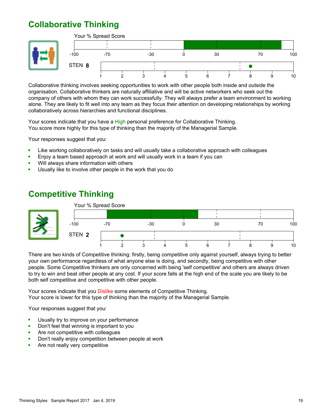## **Collaborative Thinking**





**Collaborative thinking involves seeking opportunities to work with other people both inside and outside the organisation. Collaborative thinkers are naturally affiliative and will be active networkers who seek out the company of others with whom they can work successfully. They will always prefer a team environment to working alone. They are likely to fit well into any team as they focus their attention on developing relationships by working collaboratively across hierarchies and functional disciplines.**

**Your scores indicate that you have a High personal preference for Collaborative Thinking. You score more highly for this type of thinking than the majority of the Managerial Sample.**

**Your responses suggest that you:**

- **Like working collaboratively on tasks and will usually take a collaborative approach with colleagues**  $\bullet$
- **Enjoy a team based approach at work and will usually work in a team if you can**
- **Will always share information with others**
- **Usually like to involve other people in the work that you do**  $\bullet$

#### **Competitive Thinking**



**There are two kinds of Competitive thinking: firstly, being competitive only against yourself, always trying to better your own performance regardless of what anyone else is doing, and secondly, being competitive with other people. Some Competitive thinkers are only concerned with being 'self competitive' and others are always driven to try to win and beat other people at any cost. If your score falls at the high end of the scale you are likely to be both self competitive and competitive with other people.**

**Your scores indicate that you Dislike some elements of Competitive Thinking. Your score is lower for this type of thinking than the majority of the Managerial Sample.**

- $\bullet$ **Usually try to improve on your performance**
- $\bullet$ **Don't feel that winning is important to you**
- **Are not competitive with colleagues**
- **Don't really enjoy competition between people at work**
- **Are not really very competitive**  $\bullet$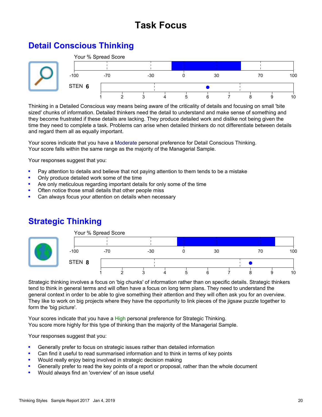## **Task Focus**

### **Detail Conscious Thinking**



**Thinking in a Detailed Conscious way means being aware of the criticality of details and focusing on small 'bite sized' chunks of information. Detailed thinkers need the detail to understand and make sense of something and they become frustrated if these details are lacking. They produce detailed work and dislike not being given the time they need to complete a task. Problems can arise when detailed thinkers do not differentiate between details and regard them all as equally important.**

**Your scores indicate that you have a Moderate personal preference for Detail Conscious Thinking. Your score falls within the same range as the majority of the Managerial Sample.**

**Your responses suggest that you:**

- **Pay attention to details and believe that not paying attention to them tends to be a mistake**
- **Only produce detailed work some of the time**
- **Are only meticulous regarding important details for only some of the time**
- **Often notice those small details that other people miss**
- **Can always focus your attention on details when necessary**



### **Strategic Thinking**

**Strategic thinking involves a focus on 'big chunks' of information rather than on specific details. Strategic thinkers tend to think in general terms and will often have a focus on long term plans. They need to understand the general context in order to be able to give something their attention and they will often ask you for an overview. They like to work on big projects where they have the opportunity to link pieces of the jigsaw puzzle together to form the 'big picture'.**

**Your scores indicate that you have a High personal preference for Strategic Thinking. You score more highly for this type of thinking than the majority of the Managerial Sample.**

- **Generally prefer to focus on strategic issues rather than detailed information**
- **Can find it useful to read summarised information and to think in terms of key points**
- **Would really enjoy being involved in strategic decision making**
- **Generally prefer to read the key points of a report or proposal, rather than the whole document**
- **Would always find an 'overview' of an issue useful**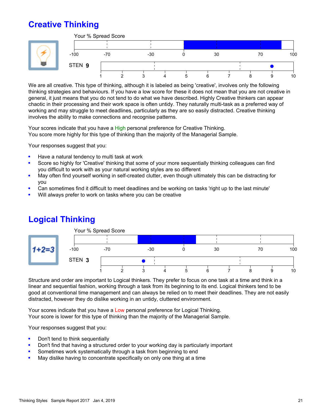## **Creative Thinking**



**We are all creative. This type of thinking, although it is labeled as being 'creative', involves only the following thinking strategies and behaviours. If you have a low score for these it does not mean that you are not creative in general, it just means that you do not tend to do what we have described. Highly Creative thinkers can appear chaotic in their processing and their work space is often untidy. They naturally multi-task as a preferred way of working and may struggle to meet deadlines, particularly as they are so easily distracted. Creative thinking involves the ability to make connections and recognise patterns.**

**Your scores indicate that you have a High personal preference for Creative Thinking. You score more highly for this type of thinking than the majority of the Managerial Sample.**

**Your responses suggest that you:**

- **Have a natural tendency to multi task at work**
- **Score so highly for 'Creative' thinking that some of your more sequentially thinking colleagues can find you difficult to work with as your natural working styles are so different**
- **May often find yourself working in self-created clutter, even though ultimately this can be distracting for**  $\bullet$ **you**
- **Can sometimes find it difficult to meet deadlines and be working on tasks 'right up to the last minute'**
- **Will always prefer to work on tasks where you can be creative**



### **Logical Thinking**

**Structure and order are important to Logical thinkers. They prefer to focus on one task at a time and think in a linear and sequential fashion, working through a task from its beginning to its end. Logical thinkers tend to be good at conventional time management and can always be relied on to meet their deadlines. They are not easily distracted, however they do dislike working in an untidy, cluttered environment.**

**Your scores indicate that you have a Low personal preference for Logical Thinking. Your score is lower for this type of thinking than the majority of the Managerial Sample.**

- **Don't tend to think sequentially**
- **Don't find that having a structured order to your working day is particularly important**
- **Sometimes work systematically through a task from beginning to end**
- **May dislike having to concentrate specifically on only one thing at a time**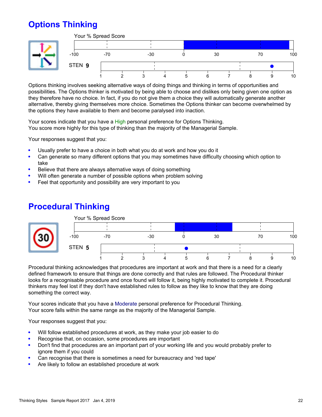## **Options Thinking**



**Options thinking involves seeking alternative ways of doing things and thinking in terms of opportunities and possibilities. The Options thinker is motivated by being able to choose and dislikes only being given one option as they therefore have no choice. In fact, if you do not give them a choice they will automatically generate another alternative, thereby giving themselves more choice. Sometimes the Options thinker can become overwhelmed by the options they have available to them and become paralysed into inaction.**

**Your scores indicate that you have a High personal preference for Options Thinking. You score more highly for this type of thinking than the majority of the Managerial Sample.**

**Your responses suggest that you:**

- **Usually prefer to have a choice in both what you do at work and how you do it**
- **Can generate so many different options that you may sometimes have difficulty choosing which option to**  $\epsilon$ **take**
- **Believe that there are always alternative ways of doing something**
- **Will often generate a number of possible options when problem solving**
- **Feel that opportunity and possibility are very important to you**

#### **Procedural Thinking**



**Procedural thinking acknowledges that procedures are important at work and that there is a need for a clearly defined framework to ensure that things are done correctly and that rules are followed. The Procedural thinker looks for a recognisable procedure and once found will follow it, being highly motivated to complete it. Procedural thinkers may feel lost if they don't have established rules to follow as they like to know that they are doing something the correct way.**

**Your scores indicate that you have a Moderate personal preference for Procedural Thinking. Your score falls within the same range as the majority of the Managerial Sample.**

- **Will follow established procedures at work, as they make your job easier to do**
- **Recognise that, on occasion, some procedures are important**
- **Don't find that procedures are an important part of your working life and you would probably prefer to**  $\bullet$ **ignore them if you could**
- **Can recognise that there is sometimes a need for bureaucracy and 'red tape'**
- **Are likely to follow an established procedure at work**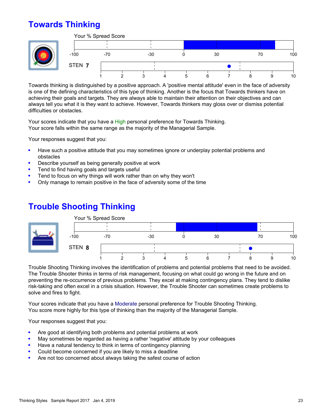### **Towards Thinking**





**Towards thinking is distinguished by a positive approach. A 'positive mental attitude' even in the face of adversity is one of the defining characteristics of this type of thinking. Another is the focus that Towards thinkers have on achieving their goals and targets. They are always able to maintain their attention on their objectives and can always tell you what it is they want to achieve. However, Towards thinkers may gloss over or dismiss potential difficulties or obstacles.**

**Your scores indicate that you have a High personal preference for Towards Thinking. Your score falls within the same range as the majority of the Managerial Sample.**

**Your responses suggest that you:**

- **Have such a positive attitude that you may sometimes ignore or underplay potential problems and**  $\bullet$ **obstacles**
- **Describe yourself as being generally positive at work**
- **Tend to find having goals and targets useful**
- **Tend to focus on why things will work rather than on why they won't**
- **Only manage to remain positive in the face of adversity some of the time**

#### **Trouble Shooting Thinking**



**Trouble Shooting Thinking involves the identification of problems and potential problems that need to be avoided. The Trouble Shooter thinks in terms of risk management, focusing on what could go wrong in the future and on preventing the re-occurrence of previous problems. They excel at making contingency plans. They tend to dislike risk-taking and often excel in a crisis situation. However, the Trouble Shooter can sometimes create problems to solve and fires to fight.**

**Your scores indicate that you have a Moderate personal preference for Trouble Shooting Thinking. You score more highly for this type of thinking than the majority of the Managerial Sample.**

- **Are good at identifying both problems and potential problems at work**
- **May sometimes be regarded as having a rather 'negative' attitude by your colleagues**
- **Have a natural tendency to think in terms of contingency planning**
- **Could become concerned if you are likely to miss a deadline**
- **Are not too concerned about always taking the safest course of action**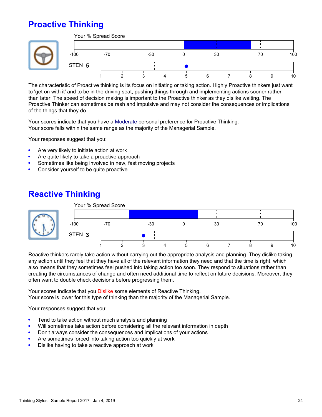## **Proactive Thinking**



**The characteristic of Proactive thinking is its focus on initiating or taking action. Highly Proactive thinkers just want to 'get on with it' and to be in the driving seat, pushing things through and implementing actions sooner rather than later. The speed of decision making is important to the Proactive thinker as they dislike waiting. The Proactive Thinker can sometimes be rash and impulsive and may not consider the consequences or implications of the things that they do.**

**Your scores indicate that you have a Moderate personal preference for Proactive Thinking. Your score falls within the same range as the majority of the Managerial Sample.**

**Your responses suggest that you:**

- **Are very likely to initiate action at work**
- **Are quite likely to take a proactive approach**
- **Sometimes like being involved in new, fast moving projects**
- **Consider yourself to be quite proactive**

#### **Reactive Thinking**



**Reactive thinkers rarely take action without carrying out the appropriate analysis and planning. They dislike taking any action until they feel that they have all of the relevant information they need and that the time is right, which also means that they sometimes feel pushed into taking action too soon. They respond to situations rather than creating the circumstances of change and often need additional time to reflect on future decisions. Moreover, they often want to double check decisions before progressing them.**

**Your scores indicate that you Dislike some elements of Reactive Thinking. Your score is lower for this type of thinking than the majority of the Managerial Sample.**

- **Tend to take action without much analysis and planning**
- **Will sometimes take action before considering all the relevant information in depth**
- **Don't always consider the consequences and implications of your actions**
- **Are sometimes forced into taking action too quickly at work**
- **Dislike having to take a reactive approach at work**  $\bullet$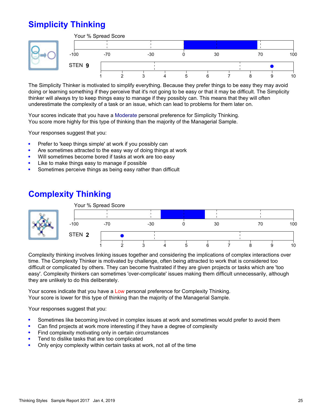## **Simplicity Thinking**



**The Simplicity Thinker is motivated to simplify everything. Because they prefer things to be easy they may avoid doing or learning something if they perceive that it's not going to be easy or that it may be difficult. The Simplicity thinker will always try to keep things easy to manage if they possibly can. This means that they will often underestimate the complexity of a task or an issue, which can lead to problems for them later on.**

**Your scores indicate that you have a Moderate personal preference for Simplicity Thinking. You score more highly for this type of thinking than the majority of the Managerial Sample.**

**Your responses suggest that you:**

- **Prefer to 'keep things simple' at work if you possibly can**
- **Are sometimes attracted to the easy way of doing things at work**
- **Will sometimes become bored if tasks at work are too easy**
- **Like to make things easy to manage if possible**
- **Sometimes perceive things as being easy rather than difficult**

#### **Complexity Thinking**



**Complexity thinking involves linking issues together and considering the implications of complex interactions over time. The Complexity Thinker is motivated by challenge, often being attracted to work that is considered too difficult or complicated by others. They can become frustrated if they are given projects or tasks which are 'too easy'. Complexity thinkers can sometimes 'over-complicate' issues making them difficult unnecessarily, although they are unlikely to do this deliberately.**

**Your scores indicate that you have a Low personal preference for Complexity Thinking. Your score is lower for this type of thinking than the majority of the Managerial Sample.**

- **Sometimes like becoming involved in complex issues at work and sometimes would prefer to avoid them**
- **Can find projects at work more interesting if they have a degree of complexity**
- **Find complexity motivating only in certain circumstances**
- **Tend to dislike tasks that are too complicated**
- **Only enjoy complexity within certain tasks at work, not all of the time**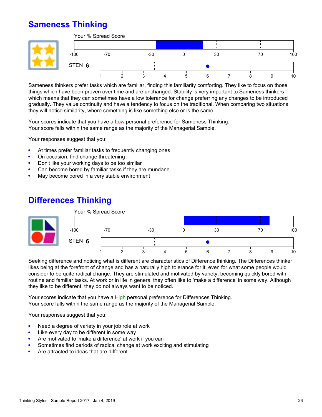## **Sameness Thinking**



**Sameness thinkers prefer tasks which are familiar, finding this familiarity comforting. They like to focus on those things which have been proven over time and are unchanged. Stability is very important to Sameness thinkers which means that they can sometimes have a low tolerance for change preferring any changes to be introduced gradually. They value continuity and have a tendency to focus on the traditional. When comparing two situations they will notice similarity, where something is like something else or is the same.**

**Your scores indicate that you have a Low personal preference for Sameness Thinking. Your score falls within the same range as the majority of the Managerial Sample.**

**Your responses suggest that you:**

- **At times prefer familiar tasks to frequently changing ones**
- **On occasion, find change threatening**
- **Don't like your working days to be too similar**
- **Can become bored by familiar tasks if they are mundane**
- **May become bored in a very stable environment**

#### **Differences Thinking**



**Seeking difference and noticing what is different are characteristics of Difference thinking. The Differences thinker likes being at the forefront of change and has a naturally high tolerance for it, even for what some people would consider to be quite radical change. They are stimulated and motivated by variety, becoming quickly bored with routine and familiar tasks. At work or in life in general they often like to 'make a difference' in some way. Although they like to be different, they do not always want to be noticed.**

**Your scores indicate that you have a High personal preference for Differences Thinking. Your score falls within the same range as the majority of the Managerial Sample.**

- **Need a degree of variety in your job role at work**
- **Like every day to be different in some way**
- **Are motivated to 'make a difference' at work if you can**
- **Sometimes find periods of radical change at work exciting and stimulating**
- **Are attracted to ideas that are different**